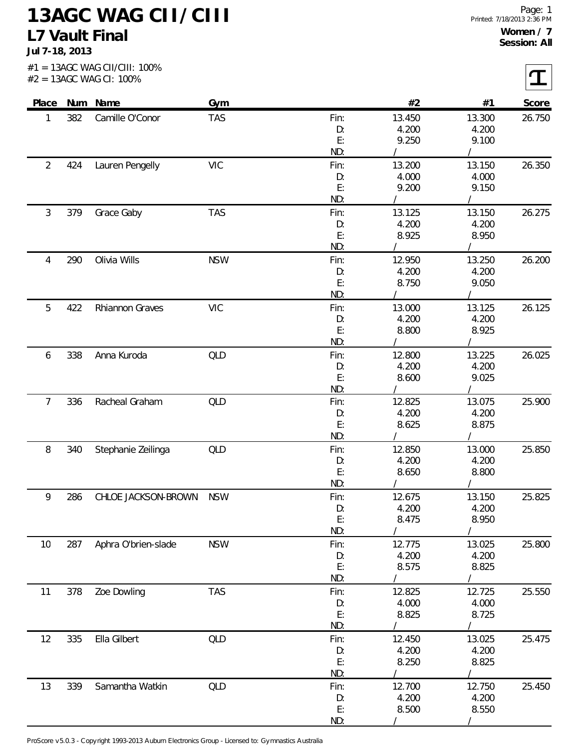**Jul 7-18, 2013**

 $\epsilon$ 

|                |     | $#2 = 13AGC$ WAG CI: 100% |            |            |                 |                 | ┻      |
|----------------|-----|---------------------------|------------|------------|-----------------|-----------------|--------|
|                |     | Place Num Name            | Gym        |            | #2              | #1              | Score  |
| 1              | 382 | Camille O'Conor           | <b>TAS</b> | Fin:       | 13.450          | 13.300          | 26.750 |
|                |     |                           |            | D:         | 4.200           | 4.200           |        |
|                |     |                           |            | E:         | 9.250           | 9.100           |        |
|                |     |                           |            | ND:        |                 |                 |        |
| $\overline{2}$ | 424 | Lauren Pengelly           | <b>VIC</b> | Fin:       | 13.200          | 13.150          | 26.350 |
|                |     |                           |            | D:         | 4.000           | 4.000           |        |
|                |     |                           |            | E:         | 9.200           | 9.150           |        |
|                |     |                           |            | ND:        |                 |                 |        |
| $\mathfrak{Z}$ | 379 | Grace Gaby                | <b>TAS</b> | Fin:       | 13.125          | 13.150          | 26.275 |
|                |     |                           |            | D:         | 4.200           | 4.200           |        |
|                |     |                           |            | E:<br>ND:  | 8.925           | 8.950           |        |
|                |     |                           |            |            |                 |                 |        |
| 4              | 290 | Olivia Wills              | <b>NSW</b> | Fin:       | 12.950<br>4.200 | 13.250<br>4.200 | 26.200 |
|                |     |                           |            | D:<br>E:   | 8.750           | 9.050           |        |
|                |     |                           |            | ND:        |                 |                 |        |
| 5              | 422 | Rhiannon Graves           | <b>VIC</b> | Fin:       | 13.000          | 13.125          | 26.125 |
|                |     |                           |            | D:         | 4.200           | 4.200           |        |
|                |     |                           |            | E:         | 8.800           | 8.925           |        |
|                |     |                           |            | ND:        |                 |                 |        |
| 6              | 338 | Anna Kuroda               | QLD        | Fin:       | 12.800          | 13.225          | 26.025 |
|                |     |                           |            | D:         | 4.200           | 4.200           |        |
|                |     |                           |            | E:         | 8.600           | 9.025           |        |
|                |     |                           |            | ND:        |                 |                 |        |
| $\overline{7}$ | 336 | Racheal Graham            | QLD        | Fin:       | 12.825          | 13.075          | 25.900 |
|                |     |                           |            | D:         | 4.200           | 4.200           |        |
|                |     |                           |            | E:         | 8.625           | 8.875           |        |
|                |     |                           |            | ND:        |                 |                 |        |
| 8              | 340 | Stephanie Zeilinga        | QLD        | Fin:       | 12.850          | 13.000          | 25.850 |
|                |     |                           |            | D:         | 4.200           | 4.200           |        |
|                |     |                           |            | E:         | 8.650           | 8.800           |        |
|                |     |                           |            | ND:        |                 |                 |        |
| 9              | 286 | CHLOE JACKSON-BROWN       | <b>NSW</b> | Fin:       | 12.675          | 13.150          | 25.825 |
|                |     |                           |            | D:         | 4.200           | 4.200           |        |
|                |     |                           |            | E:         | 8.475           | 8.950           |        |
|                |     |                           |            | ND:        |                 |                 |        |
| 10             | 287 | Aphra O'brien-slade       | <b>NSW</b> | Fin:       | 12.775          | 13.025          | 25.800 |
|                |     |                           |            | D:         | 4.200           | 4.200           |        |
|                |     |                           |            | E:         | 8.575           | 8.825           |        |
|                |     |                           |            | ND:        |                 |                 |        |
| 11             | 378 | Zoe Dowling               | <b>TAS</b> | Fin:       | 12.825          | 12.725          | 25.550 |
|                |     |                           |            | D:         | 4.000           | 4.000           |        |
|                |     |                           |            | E:         | 8.825           | 8.725           |        |
|                |     |                           |            | ND:        |                 |                 |        |
| 12             | 335 | Ella Gilbert              | QLD        | Fin:       | 12.450          | 13.025          | 25.475 |
|                |     |                           |            | D:<br>E:   | 4.200<br>8.250  | 4.200<br>8.825  |        |
|                |     |                           |            | ND:        |                 |                 |        |
|                | 339 | Samantha Watkin           | QLD        |            | 12.700          | 12.750          | 25.450 |
| 13             |     |                           |            | Fin:<br>D: | 4.200           | 4.200           |        |
|                |     |                           |            | E:         | 8.500           | 8.550           |        |
|                |     |                           |            | ND:        |                 |                 |        |
|                |     |                           |            |            |                 |                 |        |

ProScore v5.0.3 - Copyright 1993-2013 Auburn Electronics Group - Licensed to: Gymnastics Australia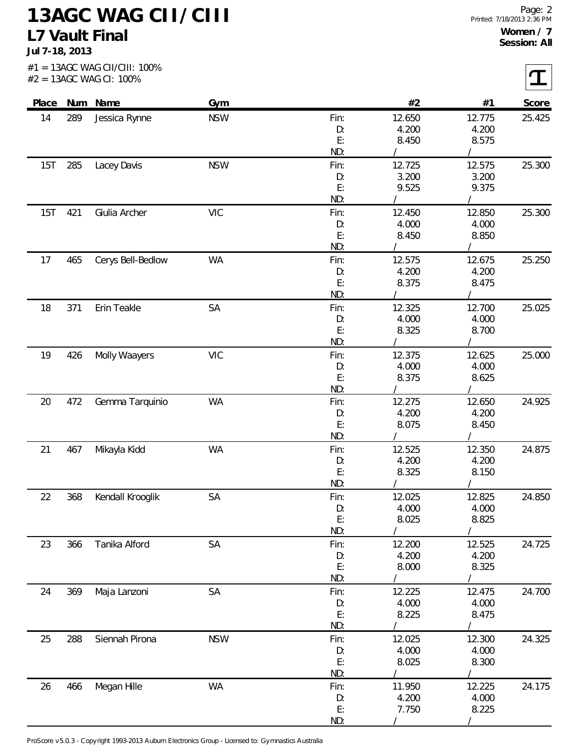**Jul 7-18, 2013**

| Place |     | Num Name          | <b>Gym</b> |           | #2              | #1             | Score  |
|-------|-----|-------------------|------------|-----------|-----------------|----------------|--------|
| 14    | 289 | Jessica Rynne     | <b>NSW</b> | Fin:      | 12.650          | 12.775         | 25.425 |
|       |     |                   |            | D:        | 4.200           | 4.200          |        |
|       |     |                   |            | E:        | 8.450           | 8.575          |        |
|       |     |                   |            | ND:       |                 |                |        |
| 15T   | 285 | Lacey Davis       | <b>NSW</b> | Fin:      | 12.725          | 12.575         | 25.300 |
|       |     |                   |            | D:        | 3.200           | 3.200          |        |
|       |     |                   |            | E:        | 9.525           | 9.375          |        |
|       |     |                   |            | ND:       |                 |                |        |
| 15T   | 421 | Giulia Archer     | <b>VIC</b> | Fin:      | 12.450          | 12.850         | 25.300 |
|       |     |                   |            | D:        | 4.000           | 4.000          |        |
|       |     |                   |            | E:        | 8.450           | 8.850          |        |
|       |     |                   |            | ND:       |                 |                |        |
| 17    | 465 | Cerys Bell-Bedlow | <b>WA</b>  | Fin:      | 12.575          | 12.675         | 25.250 |
|       |     |                   |            | D:        | 4.200           | 4.200          |        |
|       |     |                   |            | E:        | 8.375           | 8.475          |        |
|       |     |                   |            | ND:       |                 |                |        |
| 18    | 371 | Erin Teakle       | SA         | Fin:      | 12.325          | 12.700         | 25.025 |
|       |     |                   |            | D:        | 4.000           | 4.000          |        |
|       |     |                   |            | E:        | 8.325           | 8.700          |        |
|       |     |                   |            | ND:       |                 |                |        |
| 19    | 426 | Molly Waayers     | <b>VIC</b> | Fin:      | 12.375          | 12.625         | 25.000 |
|       |     |                   |            | D:        | 4.000           | 4.000          |        |
|       |     |                   |            | E:        | 8.375           | 8.625          |        |
|       |     |                   |            | ND:       |                 |                |        |
| 20    | 472 | Gemma Tarquinio   | <b>WA</b>  | Fin:      | 12.275          | 12.650         | 24.925 |
|       |     |                   |            | D:        | 4.200           | 4.200          |        |
|       |     |                   |            | E:        | 8.075           | 8.450          |        |
|       |     |                   |            | ND:       |                 |                |        |
| 21    | 467 | Mikayla Kidd      | <b>WA</b>  | Fin:      | 12.525          | 12.350         | 24.875 |
|       |     |                   |            | D:        | 4.200           | 4.200          |        |
|       |     |                   |            | E:        | 8.325           | 8.150          |        |
|       |     |                   |            | ND:       |                 |                |        |
| 22    | 368 | Kendall Krooglik  | SA         | Fin:      | 12.025          | 12.825         | 24.850 |
|       |     |                   |            | D:        | 4.000           | 4.000          |        |
|       |     |                   |            | E:        | 8.025           | 8.825          |        |
|       |     |                   |            | ND:       |                 |                |        |
| 23    | 366 | Tanika Alford     | SA         | Fin:      | 12.200          | 12.525         | 24.725 |
|       |     |                   |            | D:        | 4.200           | 4.200          |        |
|       |     |                   |            | E:<br>ND: | 8.000           | 8.325          |        |
|       |     |                   |            |           |                 |                |        |
| 24    | 369 | Maja Lanzoni      | SA         | Fin:      | 12.225<br>4.000 | 12.475         | 24.700 |
|       |     |                   |            | D:<br>E:  | 8.225           | 4.000<br>8.475 |        |
|       |     |                   |            | ND:       |                 |                |        |
|       |     | Siennah Pirona    | <b>NSW</b> | Fin:      | 12.025          | 12.300         | 24.325 |
| 25    | 288 |                   |            | D:        | 4.000           | 4.000          |        |
|       |     |                   |            | E:        | 8.025           | 8.300          |        |
|       |     |                   |            | ND:       |                 |                |        |
| 26    | 466 | Megan Hille       | <b>WA</b>  | Fin:      | 11.950          | 12.225         | 24.175 |
|       |     |                   |            | D:        | 4.200           | 4.000          |        |
|       |     |                   |            | E:        | 7.750           | 8.225          |        |
|       |     |                   |            | ND:       |                 |                |        |

ProScore v5.0.3 - Copyright 1993-2013 Auburn Electronics Group - Licensed to: Gymnastics Australia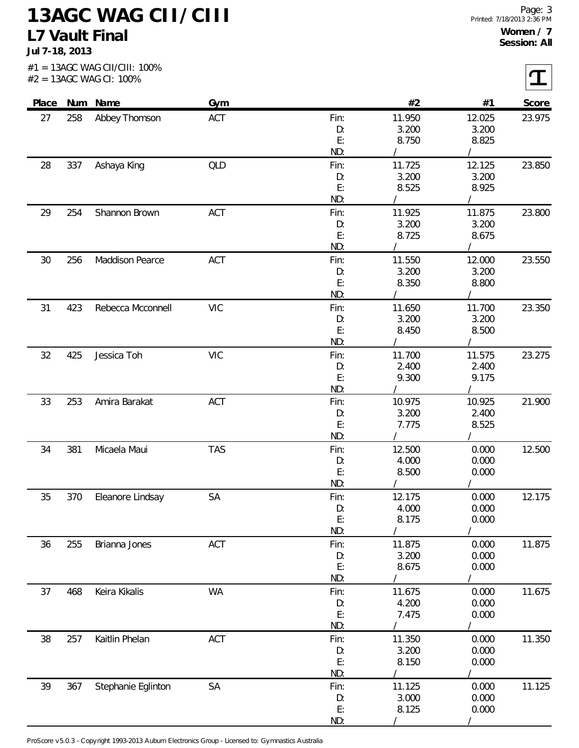**Jul 7-18, 2013**

 $\sqrt{ }$ 

|           |     | #2 = 13AGC WAG CI: 100% |            |           |                 |                |        |
|-----------|-----|-------------------------|------------|-----------|-----------------|----------------|--------|
| Place     |     | Num Name                | Gym        |           | #2              | #1             | Score  |
| 258<br>27 |     | Abbey Thomson           | ACT        | Fin:      | 11.950          | 12.025         | 23.975 |
|           |     |                         |            | D:        | 3.200           | 3.200          |        |
|           |     |                         |            | E:        | 8.750           | 8.825          |        |
|           |     |                         |            | ND:       |                 |                |        |
| 28        | 337 | Ashaya King             | QLD        | Fin:      | 11.725<br>3.200 | 12.125         | 23.850 |
|           |     |                         |            | D:<br>E:  | 8.525           | 3.200<br>8.925 |        |
|           |     |                         |            | ND:       |                 |                |        |
| 29        | 254 | Shannon Brown           | ACT        | Fin:      | 11.925          | 11.875         | 23.800 |
|           |     |                         |            | D:        | 3.200           | 3.200          |        |
|           |     |                         |            | E:        | 8.725           | 8.675          |        |
|           |     |                         |            | ND:       |                 |                |        |
| 30        | 256 | Maddison Pearce         | ACT        | Fin:      | 11.550          | 12.000         | 23.550 |
|           |     |                         |            | D:        | 3.200           | 3.200          |        |
|           |     |                         |            | E:        | 8.350           | 8.800          |        |
|           |     |                         |            | ND:       |                 |                |        |
| 31        | 423 | Rebecca Mcconnell       | <b>VIC</b> | Fin:      | 11.650          | 11.700         | 23.350 |
|           |     |                         |            | D:<br>E:  | 3.200<br>8.450  | 3.200<br>8.500 |        |
|           |     |                         |            | ND:       |                 |                |        |
| 32        | 425 | Jessica Toh             | <b>VIC</b> | Fin:      | 11.700          | 11.575         | 23.275 |
|           |     |                         |            | D:        | 2.400           | 2.400          |        |
|           |     |                         |            | E:        | 9.300           | 9.175          |        |
|           |     |                         |            | ND:       |                 |                |        |
| 33        | 253 | Amira Barakat           | ACT        | Fin:      | 10.975          | 10.925         | 21.900 |
|           |     |                         |            | D:        | 3.200           | 2.400          |        |
|           |     |                         |            | E:        | 7.775           | 8.525          |        |
|           |     |                         |            | ND:       |                 |                |        |
| 34        | 381 | Micaela Maui            | <b>TAS</b> | Fin:      | 12.500          | 0.000          | 12.500 |
|           |     |                         |            | D:        | 4.000           | 0.000          |        |
|           |     |                         |            | E:        | 8.500           | 0.000          |        |
|           |     |                         |            | ND:       |                 |                |        |
| 35        | 370 | Eleanore Lindsay        | SA         | Fin:      | 12.175<br>4.000 | 0.000          | 12.175 |
|           |     |                         |            | D:<br>E:  | 8.175           | 0.000<br>0.000 |        |
|           |     |                         |            | ND:       |                 |                |        |
| 36        | 255 | Brianna Jones           | ACT        | Fin:      | 11.875          | 0.000          | 11.875 |
|           |     |                         |            | D:        | 3.200           | 0.000          |        |
|           |     |                         |            | E:        | 8.675           | 0.000          |        |
|           |     |                         |            | ND:       |                 |                |        |
| 37        | 468 | Keira Kikalis           | <b>WA</b>  | Fin:      | 11.675          | 0.000          | 11.675 |
|           |     |                         |            | D:        | 4.200           | 0.000          |        |
|           |     |                         |            | E:        | 7.475           | 0.000          |        |
|           |     |                         |            | ND:       |                 |                |        |
| 38        | 257 | Kaitlin Phelan          | ACT        | Fin:      | 11.350          | 0.000          | 11.350 |
|           |     |                         |            | D:        | 3.200           | 0.000          |        |
|           |     |                         |            | E:<br>ND: | 8.150           | 0.000          |        |
| 39        | 367 | Stephanie Eglinton      | SA         | Fin:      | 11.125          | 0.000          | 11.125 |
|           |     |                         |            | D:        | 3.000           | 0.000          |        |
|           |     |                         |            | E:        | 8.125           | 0.000          |        |
|           |     |                         |            | ND:       |                 |                |        |

ProScore v5.0.3 - Copyright 1993-2013 Auburn Electronics Group - Licensed to: Gymnastics Australia